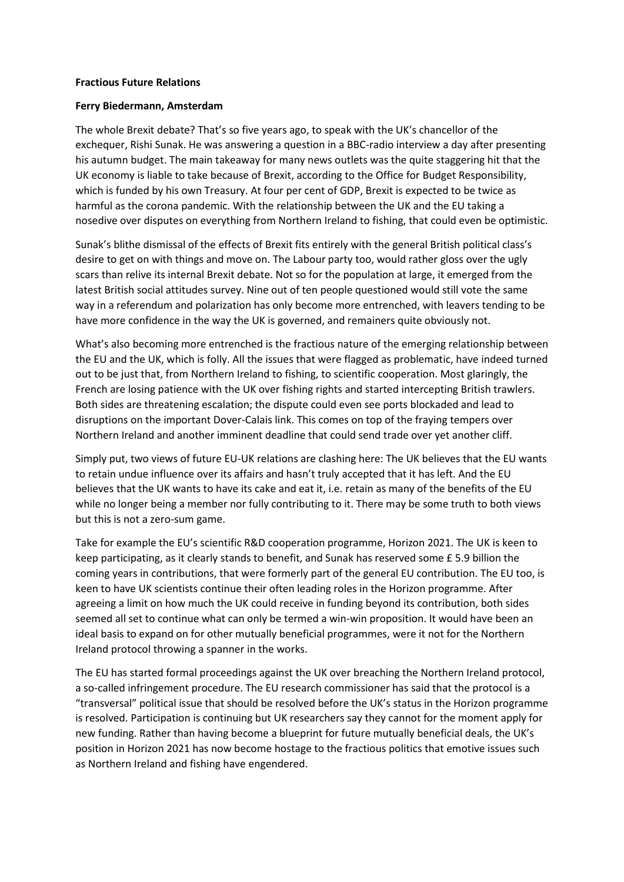## **Fractious Future Relations**

## **Ferry Biedermann, Amsterdam**

The whole Brexit debate? That's so five years ago, to speak with the UK's chancellor of the exchequer, Rishi Sunak. He was answering a question in a BBC-radio interview a day after presenting his autumn budget. The main takeaway for many news outlets was the quite staggering hit that the UK economy is liable to take because of Brexit, according to the Office for Budget Responsibility, which is funded by his own Treasury. At four per cent of GDP, Brexit is expected to be twice as harmful as the corona pandemic. With the relationship between the UK and the EU taking a nosedive over disputes on everything from Northern Ireland to fishing, that could even be optimistic.

Sunak's blithe dismissal of the effects of Brexit fits entirely with the general British political class's desire to get on with things and move on. The Labour party too, would rather gloss over the ugly scars than relive its internal Brexit debate. Not so for the population at large, it emerged from the latest British social attitudes survey. Nine out of ten people questioned would still vote the same way in a referendum and polarization has only become more entrenched, with leavers tending to be have more confidence in the way the UK is governed, and remainers quite obviously not.

What's also becoming more entrenched is the fractious nature of the emerging relationship between the EU and the UK, which is folly. All the issues that were flagged as problematic, have indeed turned out to be just that, from Northern Ireland to fishing, to scientific cooperation. Most glaringly, the French are losing patience with the UK over fishing rights and started intercepting British trawlers. Both sides are threatening escalation; the dispute could even see ports blockaded and lead to disruptions on the important Dover-Calais link. This comes on top of the fraying tempers over Northern Ireland and another imminent deadline that could send trade over yet another cliff.

Simply put, two views of future EU-UK relations are clashing here: The UK believes that the EU wants to retain undue influence over its affairs and hasn't truly accepted that it has left. And the EU believes that the UK wants to have its cake and eat it, i.e. retain as many of the benefits of the EU while no longer being a member nor fully contributing to it. There may be some truth to both views but this is not a zero-sum game.

Take for example the EU's scientific R&D cooperation programme, Horizon 2021. The UK is keen to keep participating, as it clearly stands to benefit, and Sunak has reserved some £ 5.9 billion the coming years in contributions, that were formerly part of the general EU contribution. The EU too, is keen to have UK scientists continue their often leading roles in the Horizon programme. After agreeing a limit on how much the UK could receive in funding beyond its contribution, both sides seemed all set to continue what can only be termed a win-win proposition. It would have been an ideal basis to expand on for other mutually beneficial programmes, were it not for the Northern Ireland protocol throwing a spanner in the works.

The EU has started formal proceedings against the UK over breaching the Northern Ireland protocol, a so-called infringement procedure. The EU research commissioner has said that the protocol is a "transversal" political issue that should be resolved before the UK's status in the Horizon programme is resolved. Participation is continuing but UK researchers say they cannot for the moment apply for new funding. Rather than having become a blueprint for future mutually beneficial deals, the UK's position in Horizon 2021 has now become hostage to the fractious politics that emotive issues such as Northern Ireland and fishing have engendered.